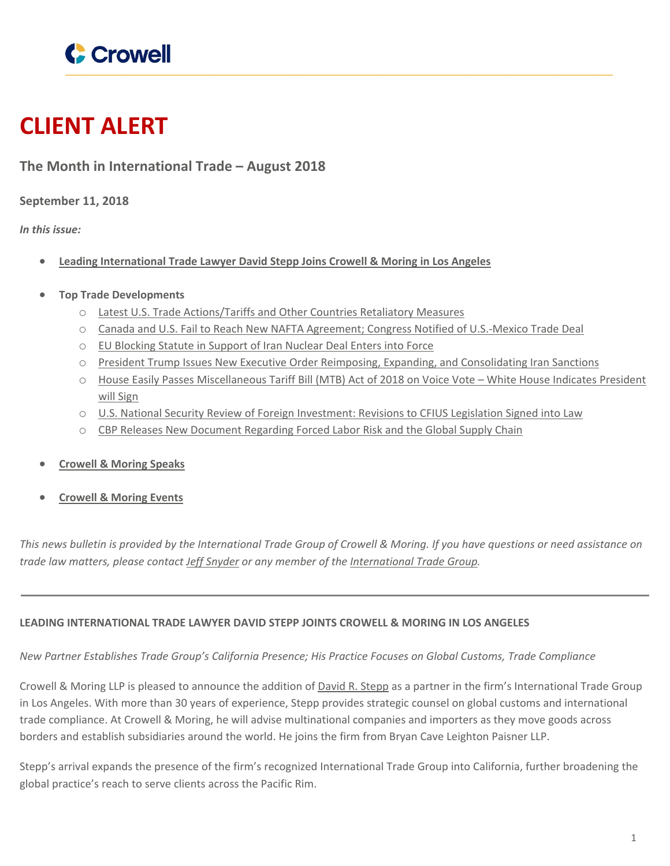

# **CLIENT ALERT**

## **The Month in International Trade – August 2018**

**September 11, 2018**

*In this issue:*

- **Leading [International](#page-0-0) Trade Lawyer David Stepp Joins Crowell & Moring in Los Angeles**
- **Top Trade Developments**
	- o Latest U.S. Trade [Actions/Tariffs](#page-0-1) and Other Countries Retaliatory Measures
	- o Canada and U.S. Fail to Reach New NAFTA Agreement; Congress Notified of [U.S.-Mexico](#page-1-0) Trade Deal
	- o EU [Blocking](#page-2-0) Statute in Support of Iran Nuclear Deal Enters into Force
	- o President Trump Issues New Executive Order Reimposing, Expanding, and [Consolidating](#page-3-0) Iran Sanctions
	- o House Easily Passes [Miscellaneous](#page-4-0) Tariff Bill (MTB) Act of 2018 on Voice Vote [–](#page-4-0) White House Indicates [President](#page-4-0) will [Sign](#page-4-0)
	- o U.S. National Security Review of Foreign [Investment:](#page-5-0) Revisions to CFIUS Legislation Signed into Law
	- o CBP Releases New [Document](#page-5-1) Regarding Forced Labor Risk and the Global Supply Chain
- **[Crowell](#page-6-0) & Moring Speaks**
- <span id="page-0-0"></span>**[Crowell](#page-6-1) & Moring Events**

This news bulletin is provided by the International Trade Group of Crowell & Moring. If you have questions or need assistance on *trade law matters, please contact Jeff [Snyder](https://www.crowell.com/Professionals/Jeffrey-Snyder) or any member of the [International](https://www.crowell.com/Practices/International-Trade) Trade Group.*

## **LEADING INTERNATIONAL TRADE LAWYER DAVID STEPP JOINTS CROWELL & MORING IN LOS ANGELES**

## *New Partner Establishes Trade Group's California Presence; His Practice Focuses on Global Customs, Trade Compliance*

Crowell & Moring LLP is pleased to announce the addition of David R. [Stepp](https://www.crowell.com/professionals/David-Stepp) as a partner in the firm's International Trade Group in Los Angeles. With more than 30 years of experience, Stepp provides strategic counsel on global customs and international trade compliance. At Crowell & Moring, he will advise multinational companies and importers as they move goods across borders and establish subsidiaries around the world. He joins the firm from Bryan Cave Leighton Paisner LLP.

<span id="page-0-1"></span>Stepp's arrival expands the presence of the firm's recognized International Trade Group into California, further broadening the global practice's reach to serve clients across the Pacific Rim.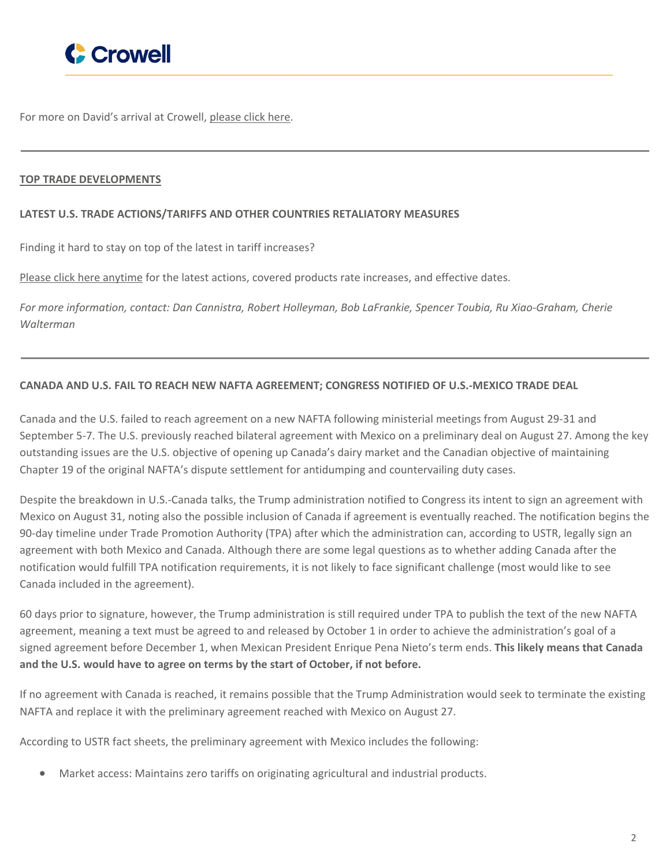

For more on David's arrival at Crowell, [please](https://www.crowell.com/NewsEvents/PressReleasesAnnouncements/Leading-International-Trade-Lawyer-David-Stepp-Joins-Crowell-Moring-in-Los-Angeles) click here.

## **TOP TRADE DEVELOPMENTS**

#### **LATEST U.S. TRADE ACTIONS/TARIFFS AND OTHER COUNTRIES RETALIATORY MEASURES**

Finding it hard to stay on top of the latest in tariff increases?

<span id="page-1-0"></span>Please click here [anytime](https://www.cmtradelaw.com/2018/06/latest-u-s-trade-actions-tariffs-and-other-countries-retaliatory-measures/) for the latest actions, covered products rate increases, and effective dates.

*For more information, contact: Dan Cannistra, Robert Holleyman, Bob LaFrankie, Spencer Toubia, Ru Xiao-Graham, Cherie Walterman*

## **CANADA AND U.S. FAIL TO REACH NEW NAFTA AGREEMENT; CONGRESS NOTIFIED OF U.S.-MEXICO TRADE DEAL**

Canada and the U.S. failed to reach agreement on a new NAFTA following ministerial meetings from August 29-31 and September 5-7. The U.S. previously reached bilateral agreement with Mexico on a preliminary deal on August 27. Among the key outstanding issues are the U.S. objective of opening up Canada's dairy market and the Canadian objective of maintaining Chapter 19 of the original NAFTA's dispute settlement for antidumping and countervailing duty cases.

Despite the breakdown in U.S.-Canada talks, the Trump administration notified to Congress its intent to sign an agreement with Mexico on August 31, noting also the possible inclusion of Canada if agreement is eventually reached. The notification begins the 90-day timeline under Trade Promotion Authority (TPA) after which the administration can, according to USTR, legally sign an agreement with both Mexico and Canada. Although there are some legal questions as to whether adding Canada after the notification would fulfill TPA notification requirements, it is not likely to face significant challenge (most would like to see Canada included in the agreement).

60 days prior to signature, however, the Trump administration is still required under TPA to publish the text of the new NAFTA agreement, meaning a text must be agreed to and released by October 1 in order to achieve the administration's goal of a signed agreement before December 1, when Mexican President Enrique Pena Nieto's term ends. **This likely means that Canada and the U.S. would have to agree on terms by the start of October, if not before.**

If no agreement with Canada is reached, it remains possible that the Trump Administration would seek to terminate the existing NAFTA and replace it with the preliminary agreement reached with Mexico on August 27.

According to USTR fact sheets, the preliminary agreement with Mexico includes the following:

Market access: Maintains zero tariffs on originating agricultural and industrial products.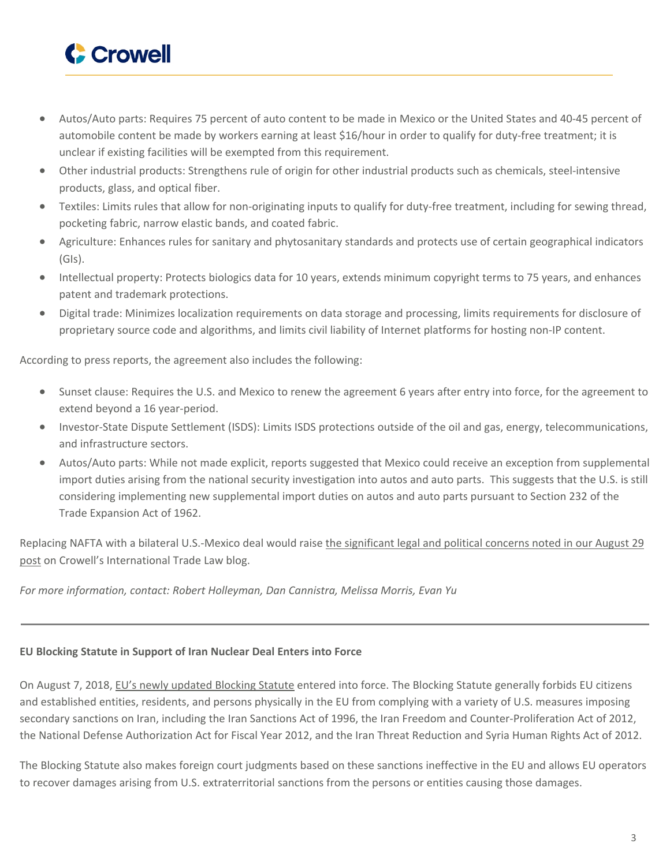

- Autos/Auto parts: Requires 75 percent of auto content to be made in Mexico or the United States and 40-45 percent of automobile content be made by workers earning at least \$16/hour in order to qualify for duty-free treatment; it is unclear if existing facilities will be exempted from this requirement.
- Other industrial products: Strengthens rule of origin for other industrial products such as chemicals, steel-intensive products, glass, and optical fiber.
- Textiles: Limits rules that allow for non-originating inputs to qualify for duty-free treatment, including for sewing thread, pocketing fabric, narrow elastic bands, and coated fabric.
- Agriculture: Enhances rules for sanitary and phytosanitary standards and protects use of certain geographical indicators (GIs).
- Intellectual property: Protects biologics data for 10 years, extends minimum copyright terms to 75 years, and enhances patent and trademark protections.
- Digital trade: Minimizes localization requirements on data storage and processing, limits requirements for disclosure of proprietary source code and algorithms, and limits civil liability of Internet platforms for hosting non-IP content.

According to press reports, the agreement also includes the following:

- Sunset clause: Requires the U.S. and Mexico to renew the agreement 6 years after entry into force, for the agreement to extend beyond a 16 year-period.
- Investor-State Dispute Settlement (ISDS): Limits ISDS protections outside of the oil and gas, energy, telecommunications, and infrastructure sectors.
- Autos/Auto parts: While not made explicit, reports suggested that Mexico could receive an exception from supplemental import duties arising from the national security investigation into autos and auto parts. This suggests that the U.S. is still considering implementing new supplemental import duties on autos and auto parts pursuant to Section 232 of the Trade Expansion Act of 1962.

<span id="page-2-0"></span>Replacing NAFTA with a bilateral U.S.-Mexico deal would raise the [significant](https://www.cmtradelaw.com/2018/08/u-s-and-mexico-announce-preliminary-agreement-in-principle-on-nafta-renegotiation-canada-joins-talks/) legal and political concerns noted in our August 29 [post](https://www.cmtradelaw.com/2018/08/u-s-and-mexico-announce-preliminary-agreement-in-principle-on-nafta-renegotiation-canada-joins-talks/) on Crowell's International Trade Law blog.

*For more information, contact: Robert Holleyman, Dan Cannistra, Melissa Morris, Evan Yu*

## **EU Blocking Statute in Support of Iran Nuclear Deal Enters into Force**

On August 7, 2018, EU's newly [updated](http://europa.eu/rapid/press-release_IP-18-4805_en.htm) Blocking Statute entered into force. The Blocking Statute generally forbids EU citizens and established entities, residents, and persons physically in the EU from complying with a variety of U.S. measures imposing secondary sanctions on Iran, including the Iran Sanctions Act of 1996, the Iran Freedom and Counter-Proliferation Act of 2012, the National Defense Authorization Act for Fiscal Year 2012, and the Iran Threat Reduction and Syria Human Rights Act of 2012.

The Blocking Statute also makes foreign court judgments based on these sanctions ineffective in the EU and allows EU operators to recover damages arising from U.S. extraterritorial sanctions from the persons or entities causing those damages.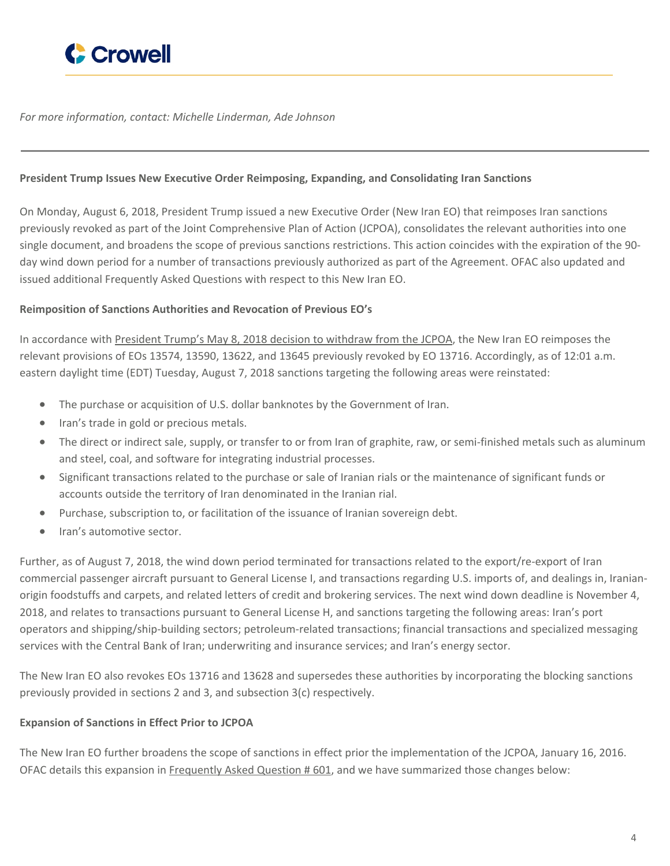

<span id="page-3-0"></span>*For more information, contact: Michelle Linderman, Ade Johnson*

## **President Trump Issues New Executive Order Reimposing, Expanding, and Consolidating Iran Sanctions**

On Monday, August 6, 2018, President Trump issued a new Executive Order (New Iran EO) that reimposes Iran sanctions previously revoked as part of the Joint Comprehensive Plan of Action (JCPOA), consolidates the relevant authorities into one single document, and broadens the scope of previous sanctions restrictions. This action coincides with the expiration of the 90 day wind down period for a number of transactions previously authorized as part of the Agreement. OFAC also updated and issued additional Frequently Asked Questions with respect to this New Iran EO.

## **Reimposition of Sanctions Authorities and Revocation of Previous EO's**

In accordance with President Trump's May 8, 2018 decision to [withdraw](https://www.whitehouse.gov/briefings-statements/remarks-president-trump-joint-comprehensive-plan-action/) from the JCPOA, the New Iran EO reimposes the relevant provisions of EOs 13574, 13590, 13622, and 13645 previously revoked by EO 13716. Accordingly, as of 12:01 a.m. eastern daylight time (EDT) Tuesday, August 7, 2018 sanctions targeting the following areas were reinstated:

- The purchase or acquisition of U.S. dollar banknotes by the Government of Iran.
- Iran's trade in gold or precious metals.
- The direct or indirect sale, supply, or transfer to or from Iran of graphite, raw, or semi-finished metals such as aluminum and steel, coal, and software for integrating industrial processes.
- Significant transactions related to the purchase or sale of Iranian rials or the maintenance of significant funds or accounts outside the territory of Iran denominated in the Iranian rial.
- Purchase, subscription to, or facilitation of the issuance of Iranian sovereign debt.
- Iran's automotive sector.

Further, as of August 7, 2018, the wind down period terminated for transactions related to the export/re-export of Iran commercial passenger aircraft pursuant to General License I, and transactions regarding U.S. imports of, and dealings in, Iranianorigin foodstuffs and carpets, and related letters of credit and brokering services. The next wind down deadline is November 4, 2018, and relates to transactions pursuant to General License H, and sanctions targeting the following areas: Iran's port operators and shipping/ship-building sectors; petroleum-related transactions; financial transactions and specialized messaging services with the Central Bank of Iran; underwriting and insurance services; and Iran's energy sector.

The New Iran EO also revokes EOs 13716 and 13628 and supersedes these authorities by incorporating the blocking sanctions previously provided in sections 2 and 3, and subsection 3(c) respectively.

## **Expansion of Sanctions in Effect Prior to JCPOA**

The New Iran EO further broadens the scope of sanctions in effect prior the implementation of the JCPOA, January 16, 2016. OFAC details this expansion in [Frequently](https://www.treasury.gov/resource-center/faqs/Sanctions/Pages/faq_iran.aspx#eo_reimposing) Asked Question # 601, and we have summarized those changes below: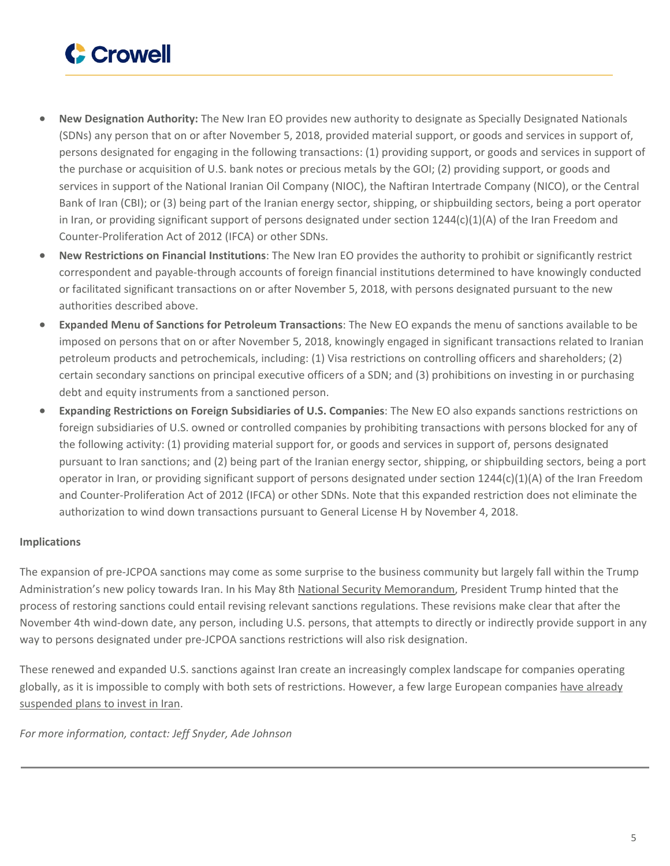

- **New Designation Authority:** The New Iran EO provides new authority to designate as Specially Designated Nationals (SDNs) any person that on or after November 5, 2018, provided material support, or goods and services in support of, persons designated for engaging in the following transactions: (1) providing support, or goods and services in support of the purchase or acquisition of U.S. bank notes or precious metals by the GOI; (2) providing support, or goods and services in support of the National Iranian Oil Company (NIOC), the Naftiran Intertrade Company (NICO), or the Central Bank of Iran (CBI); or (3) being part of the Iranian energy sector, shipping, or shipbuilding sectors, being a port operator in Iran, or providing significant support of persons designated under section  $1244(c)(1)(A)$  of the Iran Freedom and Counter-Proliferation Act of 2012 (IFCA) or other SDNs.
- **New Restrictions on Financial Institutions**: The New Iran EO provides the authority to prohibit or significantly restrict correspondent and payable-through accounts of foreign financial institutions determined to have knowingly conducted or facilitated significant transactions on or after November 5, 2018, with persons designated pursuant to the new authorities described above.
- **Expanded Menu of Sanctions for Petroleum Transactions**: The New EO expands the menu of sanctions available to be imposed on persons that on or after November 5, 2018, knowingly engaged in significant transactions related to Iranian petroleum products and petrochemicals, including: (1) Visa restrictions on controlling officers and shareholders; (2) certain secondary sanctions on principal executive officers of a SDN; and (3) prohibitions on investing in or purchasing debt and equity instruments from a sanctioned person.
- **Expanding Restrictions on Foreign Subsidiaries of U.S. Companies**: The New EO also expands sanctions restrictions on foreign subsidiaries of U.S. owned or controlled companies by prohibiting transactions with persons blocked for any of the following activity: (1) providing material support for, or goods and services in support of, persons designated pursuant to Iran sanctions; and (2) being part of the Iranian energy sector, shipping, or shipbuilding sectors, being a port operator in Iran, or providing significant support of persons designated under section 1244(c)(1)(A) of the Iran Freedom and Counter-Proliferation Act of 2012 (IFCA) or other SDNs. Note that this expanded restriction does not eliminate the authorization to wind down transactions pursuant to General License H by November 4, 2018.

## **Implications**

The expansion of pre-JCPOA sanctions may come as some surprise to the business community but largely fall within the Trump Administration's new policy towards Iran. In his May 8th National Security [Memorandum,](https://www.whitehouse.gov/presidential-actions/ceasing-u-s-participation-jcpoa-taking-additional-action-counter-irans-malign-influence-deny-iran-paths-nuclear-weapon/) President Trump hinted that the process of restoring sanctions could entail revising relevant sanctions regulations. These revisions make clear that after the November 4th wind-down date, any person, including U.S. persons, that attempts to directly or indirectly provide support in any way to persons designated under pre-JCPOA sanctions restrictions will also risk designation.

These renewed and expanded U.S. sanctions against Iran create an increasingly complex landscape for companies operating globally, as it is impossible to comply with both sets of restrictions. However, a few large European companies have [already](https://www.reuters.com/article/us-iran-nuclear/renewed-u-s-sanctions-target-irans-economy-tehran-cool-on-talks-idUSKBN1KR1N3) [suspended](https://www.reuters.com/article/us-iran-nuclear/renewed-u-s-sanctions-target-irans-economy-tehran-cool-on-talks-idUSKBN1KR1N3) plans to invest in Iran.

<span id="page-4-0"></span>*For more information, contact: Jeff Snyder, Ade Johnson*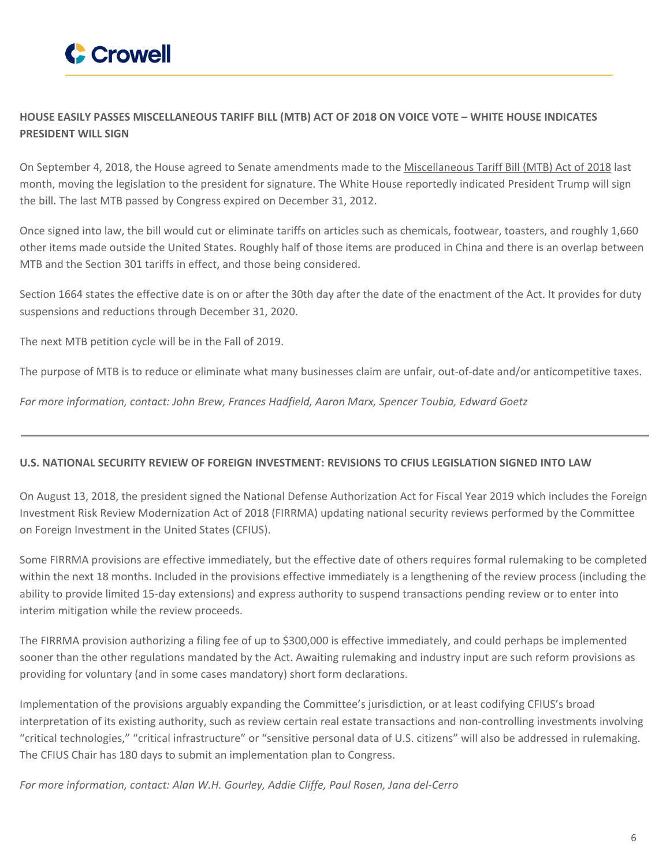

## **HOUSE EASILY PASSES MISCELLANEOUS TARIFF BILL (MTB) ACT OF 2018 ON VOICE VOTE – WHITE HOUSE INDICATES PRESIDENT WILL SIGN**

On September 4, 2018, the House agreed to Senate amendments made to the [Miscellaneous](https://www.congress.gov/bill/115th-congress/house-bill/4318/actions?q=%7B%22search%22%3A%5B%22HR+4318%22%5D%7D&r=1) Tariff Bill (MTB) Act of 2018 last month, moving the legislation to the president for signature. The White House reportedly indicated President Trump will sign the bill. The last MTB passed by Congress expired on December 31, 2012.

Once signed into law, the bill would cut or eliminate tariffs on articles such as chemicals, footwear, toasters, and roughly 1,660 other items made outside the United States. Roughly half of those items are produced in China and there is an overlap between MTB and the Section 301 tariffs in effect, and those being considered.

Section 1664 states the effective date is on or after the 30th day after the date of the enactment of the Act. It provides for duty suspensions and reductions through December 31, 2020.

The next MTB petition cycle will be in the Fall of 2019.

<span id="page-5-0"></span>The purpose of MTB is to reduce or eliminate what many businesses claim are unfair, out-of-date and/or anticompetitive taxes.

*For more information, contact: John Brew, Frances Hadfield, Aaron Marx, Spencer Toubia, Edward Goetz*

## **U.S. NATIONAL SECURITY REVIEW OF FOREIGN INVESTMENT: REVISIONS TO CFIUS LEGISLATION SIGNED INTO LAW**

On August 13, 2018, the president signed the National Defense Authorization Act for Fiscal Year 2019 which includes the Foreign Investment Risk Review Modernization Act of 2018 (FIRRMA) updating national security reviews performed by the Committee on Foreign Investment in the United States (CFIUS).

Some FIRRMA provisions are effective immediately, but the effective date of others requires formal rulemaking to be completed within the next 18 months. Included in the provisions effective immediately is a lengthening of the review process (including the ability to provide limited 15-day extensions) and express authority to suspend transactions pending review or to enter into interim mitigation while the review proceeds.

The FIRRMA provision authorizing a filing fee of up to \$300,000 is effective immediately, and could perhaps be implemented sooner than the other regulations mandated by the Act. Awaiting rulemaking and industry input are such reform provisions as providing for voluntary (and in some cases mandatory) short form declarations.

Implementation of the provisions arguably expanding the Committee's jurisdiction, or at least codifying CFIUS's broad interpretation of its existing authority, such as review certain real estate transactions and non-controlling investments involving "critical technologies," "critical infrastructure" or "sensitive personal data of U.S. citizens" will also be addressed in rulemaking. The CFIUS Chair has 180 days to submit an implementation plan to Congress.

<span id="page-5-1"></span>*For more information, contact: Alan W.H. Gourley, Addie Cliffe, Paul Rosen, Jana del-Cerro*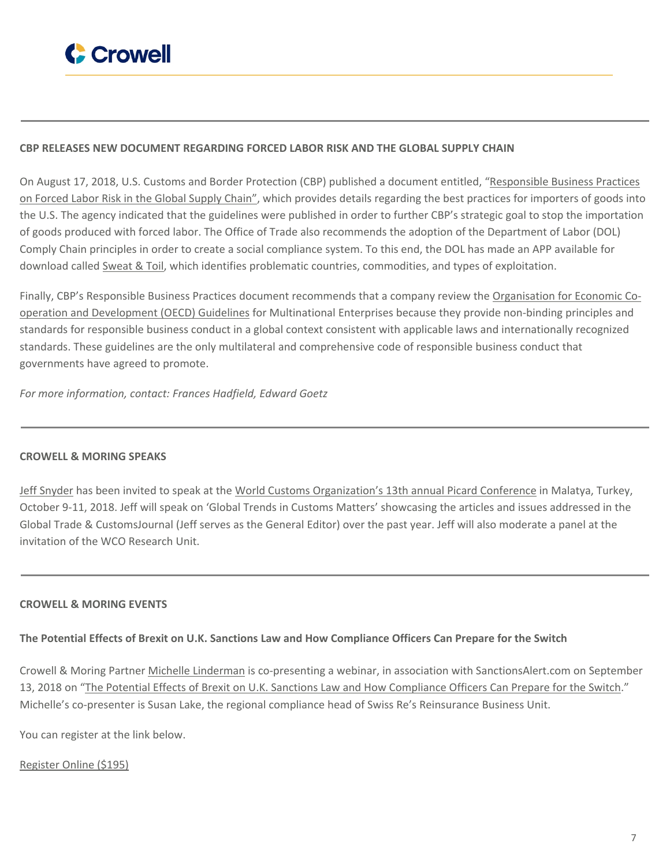

## **CBP RELEASES NEW DOCUMENT REGARDING FORCED LABOR RISK AND THE GLOBAL SUPPLY CHAIN**

On August 17, 2018, U.S. Customs and Border Protection (CBP) published a document entitled, "[Responsible](https://www.cbp.gov/sites/default/files/assets/documents/2018-Aug/CBP%20Responsible%20Business%20Practices%20on%20Forced%20Labor_v4%20%28FINAL%20with%20Publication%20Number%29.pdf) Business Practices on [Forced](https://www.cbp.gov/sites/default/files/assets/documents/2018-Aug/CBP%20Responsible%20Business%20Practices%20on%20Forced%20Labor_v4%20%28FINAL%20with%20Publication%20Number%29.pdf) Labor Risk in the Global Supply Chain", which provides details regarding the best practices for importers of goods into the U.S. The agency indicated that the guidelines were published in order to further CBP's strategic goal to stop the importation of goods produced with forced labor. The Office of Trade also recommends the adoption of the Department of Labor (DOL) Comply Chain principles in order to create a social compliance system. To this end, the DOL has made an APP available for download called [Sweat](https://www.dol.gov/general/apps/ilab) & Toil, which identifies problematic countries, commodities, and types of exploitation.

Finally, CBP's Responsible Business Practices document recommends that a company review the [Organisation](http://mneguidelines.oecd.org/guidelines/) for Economic Cooperation and [Development](http://mneguidelines.oecd.org/guidelines/) (OECD) Guidelines for Multinational Enterprises because they provide non-binding principles and standards for responsible business conduct in a global context consistent with applicable laws and internationally recognized standards. These guidelines are the only multilateral and comprehensive code of responsible business conduct that governments have agreed to promote.

<span id="page-6-0"></span>*For more information, contact: Frances Hadfield, Edward Goetz*

## **CROWELL & MORING SPEAKS**

<span id="page-6-1"></span>Jeff [Snyder](https://www.crowell.com/Professionals/Jeffrey-Snyder) has been invited to speak at the World Customs [Organization's](https://www.eiseverywhere.com/ehome/picard2018/690329/) 13th annual Picard Conference in Malatya, Turkey, October 9-11, 2018. Jeff will speak on 'Global Trends in Customs Matters' showcasing the articles and issues addressed in the Global Trade & CustomsJournal (Jeff serves as the General Editor) over the past year. Jeff will also moderate a panel at the invitation of the WCO Research Unit.

## **CROWELL & MORING EVENTS**

## The Potential Effects of Brexit on U.K. Sanctions Law and How Compliance Officers Can Prepare for the Switch

Crowell & Moring Partner Michelle [Linderman](https://www.crowell.com/professionals/Michelle-Linderman) is co-presenting a webinar, in association with SanctionsAlert.com on September 13, 2018 on "The Potential Effects of Brexit on U.K. Sanctions Law and How [Compliance](http://sanctionsalert.com/20180713upcoming/) Officers Can Prepare for the Switch." Michelle's co-presenter is Susan Lake, the regional compliance head of Swiss Re's Reinsurance Business Unit.

You can register at the link below.

[Register](https://www.regonline.com/registration/Checkin.aspx?EventID=2499759) Online (\$195)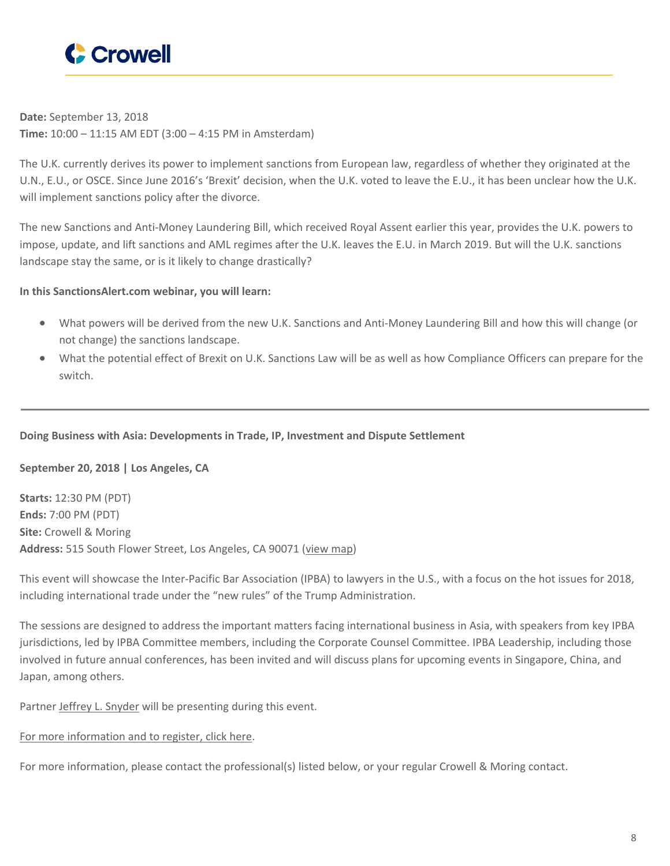

**Date:** September 13, 2018 **Time:** 10:00 – 11:15 AM EDT (3:00 – 4:15 PM in Amsterdam)

The U.K. currently derives its power to implement sanctions from European law, regardless of whether they originated at the U.N., E.U., or OSCE. Since June 2016's 'Brexit' decision, when the U.K. voted to leave the E.U., it has been unclear how the U.K. will implement sanctions policy after the divorce.

The new Sanctions and Anti-Money Laundering Bill, which received Royal Assent earlier this year, provides the U.K. powers to impose, update, and lift sanctions and AML regimes after the U.K. leaves the E.U. in March 2019. But will the U.K. sanctions landscape stay the same, or is it likely to change drastically?

## **In this SanctionsAlert.com webinar, you will learn:**

- What powers will be derived from the new U.K. Sanctions and Anti-Money Laundering Bill and how this will change (or not change) the sanctions landscape.
- What the potential effect of Brexit on U.K. Sanctions Law will be as well as how Compliance Officers can prepare for the switch.

## **Doing Business with Asia: Developments in Trade, IP, Investment and Dispute Settlement**

## **September 20, 2018 | Los Angeles, CA**

**Starts:** 12:30 PM (PDT) **Ends:** 7:00 PM (PDT) **Site:** Crowell & Moring **Address:** 515 South Flower Street, Los Angeles, CA 90071 [\(view](https://www.google.com/maps/place/Crowell+%26+Moring+LLP+-+Los+Angeles+Office/@34.0515427,-118.2569367,15z/data=!4m2!3m1!1s0x0:0xc053a0f4ea5a8e27?sa=X&ved=2ahUKEwiz-riijrvcAhWiTd8KHajIDp4Q_BIwC3oECAkQCw) map)

This event will showcase the Inter-Pacific Bar Association (IPBA) to lawyers in the U.S., with a focus on the hot issues for 2018, including international trade under the "new rules" of the Trump Administration.

The sessions are designed to address the important matters facing international business in Asia, with speakers from key IPBA jurisdictions, led by IPBA Committee members, including the Corporate Counsel Committee. IPBA Leadership, including those involved in future annual conferences, has been invited and will discuss plans for upcoming events in Singapore, China, and Japan, among others.

Partner Jeffrey L. [Snyder](https://www.crowell.com/Professionals/Jeffrey-Snyder) will be presenting during this event.

## For more [information](https://www.crowell.com/NewsEvents/Events/Doing-Business-with-Asia-Developments-in-Trade-IP-Investment-and-Dispute-Settlement) and to register, click here.

For more information, please contact the professional(s) listed below, or your regular Crowell & Moring contact.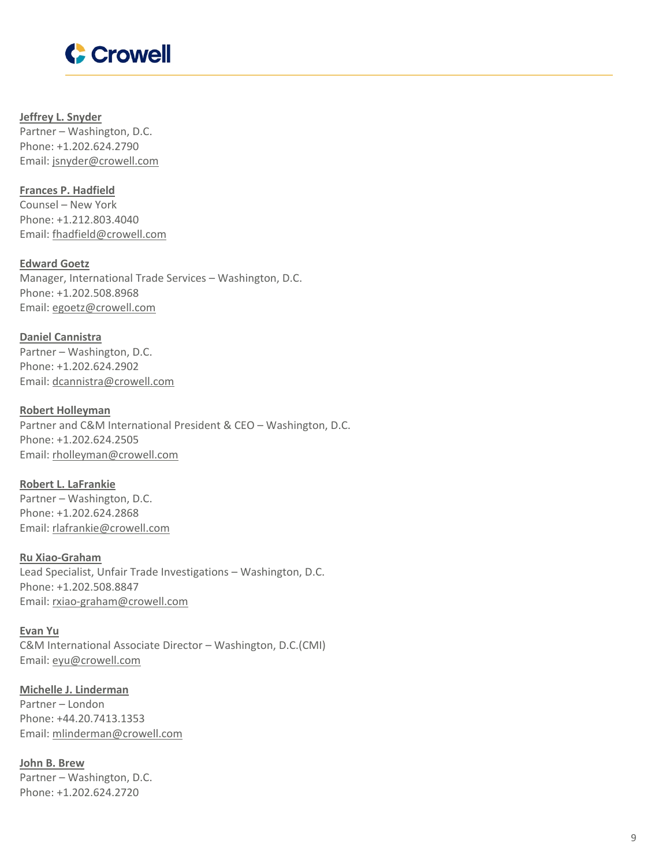

**Jeffrey L. [Snyder](https://www.crowell.com/professionals/Jeffrey-Snyder)** Partner – Washington, D.C. Phone: +1.202.624.2790 Email: [jsnyder@crowell.com](mailto:jsnyder@crowell.com)

**Frances P. [Hadfield](https://www.crowell.com/professionals/Frances-Hadfield)** Counsel – New York Phone: +1.212.803.4040 Email: [fhadfield@crowell.com](mailto:fhadfield@crowell.com)

**[Edward](https://www.crowell.com/professionals/Edward-Goetz) Goetz** Manager, International Trade Services – Washington, D.C. Phone: +1.202.508.8968 Email: [egoetz@crowell.com](mailto:egoetz@crowell.com)

**Daniel [Cannistra](https://www.crowell.com/professionals/Daniel-Cannistra)** Partner – Washington, D.C. Phone: +1.202.624.2902 Email: [dcannistra@crowell.com](mailto:dcannistra@crowell.com)

**Robert [Holleyman](https://www.crowell.com/professionals/Robert-Holleyman)** Partner and C&M International President & CEO – Washington, D.C. Phone: +1.202.624.2505 Email: [rholleyman@crowell.com](mailto:rholleyman@crowell.com)

**Robert L. [LaFrankie](https://www.crowell.com/professionals/Robert-LaFrankie)** Partner – Washington, D.C. Phone: +1.202.624.2868 Email: [rlafrankie@crowell.com](mailto:rlafrankie@crowell.com)

**Ru [Xiao-Graham](https://www.crowell.com/professionals/Ru-Xiao-Graham)** Lead Specialist, Unfair Trade Investigations – Washington, D.C. Phone: +1.202.508.8847 Email: [rxiao-graham@crowell.com](mailto:rxiao-graham@crowell.com)

**[Evan](https://www.crowell.com/professionals/Evan-Yu) Yu** C&M International Associate Director – Washington, D.C.(CMI) Email: [eyu@crowell.com](mailto:eyu@crowell.com)

**Michelle J. [Linderman](https://www.crowell.com/professionals/Michelle-Linderman)** Partner – London Phone: +44.20.7413.1353 Email: [mlinderman@crowell.com](mailto:mlinderman@crowell.com)

**John B. [Brew](https://www.crowell.com/professionals/John-Brew)** Partner – Washington, D.C. Phone: +1.202.624.2720